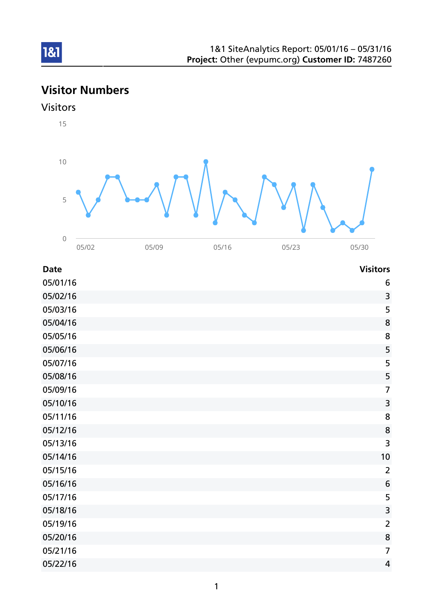# Visitor Numbers

## Visitors

1&1

15



| <b>Date</b> | <b>Visitors</b> |
|-------------|-----------------|
| 05/01/16    | 6               |
| 05/02/16    | 3               |
| 05/03/16    | 5               |
| 05/04/16    | 8               |
| 05/05/16    | 8               |
| 05/06/16    | 5               |
| 05/07/16    | 5               |
| 05/08/16    | 5               |
| 05/09/16    | $\overline{7}$  |
| 05/10/16    | 3               |
| 05/11/16    | 8               |
| 05/12/16    | 8               |
| 05/13/16    | 3               |
| 05/14/16    | 10              |
| 05/15/16    | $\overline{2}$  |
| 05/16/16    | 6               |
| 05/17/16    | 5               |
| 05/18/16    | 3               |
| 05/19/16    | $\overline{2}$  |
| 05/20/16    | 8               |
| 05/21/16    | $\overline{7}$  |
| 05/22/16    | $\overline{4}$  |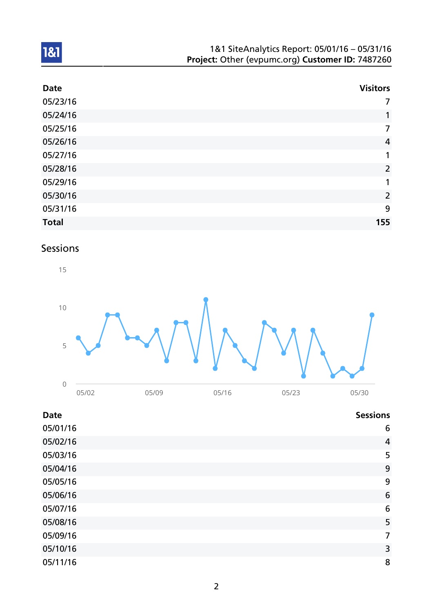| 1&1 SiteAnalytics Report: 05/01/16 - 05/31/16    |
|--------------------------------------------------|
| Project: Other (evpumc.org) Customer ID: 7487260 |

| <b>Date</b>  | <b>Visitors</b> |
|--------------|-----------------|
| 05/23/16     | 7               |
| 05/24/16     | $\mathbf{1}$    |
| 05/25/16     | $\overline{7}$  |
| 05/26/16     | $\overline{4}$  |
| 05/27/16     | 1               |
| 05/28/16     | $\overline{2}$  |
| 05/29/16     | $\mathbf{1}$    |
| 05/30/16     | $\overline{2}$  |
| 05/31/16     | 9               |
| <b>Total</b> | 155             |

# Sessions



| <b>Date</b> | <b>Sessions</b> |
|-------------|-----------------|
| 05/01/16    | 6               |
| 05/02/16    | 4               |
| 05/03/16    | 5               |
| 05/04/16    | 9               |
| 05/05/16    | 9               |
| 05/06/16    | 6               |
| 05/07/16    | 6               |
| 05/08/16    | 5               |
| 05/09/16    | 7               |
| 05/10/16    | 3               |
| 05/11/16    | 8               |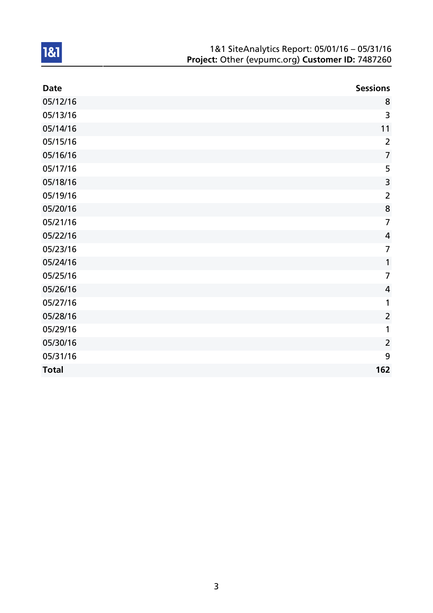| 1&1 SiteAnalytics Report: 05/01/16 - 05/31/16    |  |
|--------------------------------------------------|--|
| Project: Other (evpumc.org) Customer ID: 7487260 |  |

| <b>Date</b>  | <b>Sessions</b>         |
|--------------|-------------------------|
| 05/12/16     | 8                       |
| 05/13/16     | 3                       |
| 05/14/16     | 11                      |
| 05/15/16     | $\overline{2}$          |
| 05/16/16     | $\overline{7}$          |
| 05/17/16     | 5                       |
| 05/18/16     | $\overline{3}$          |
| 05/19/16     | $\overline{2}$          |
| 05/20/16     | 8                       |
| 05/21/16     | $\overline{7}$          |
| 05/22/16     | $\overline{\mathbf{4}}$ |
| 05/23/16     | $\overline{7}$          |
| 05/24/16     | 1                       |
| 05/25/16     | $\overline{7}$          |
| 05/26/16     | $\overline{4}$          |
| 05/27/16     | 1                       |
| 05/28/16     | $\overline{2}$          |
| 05/29/16     | 1                       |
| 05/30/16     | $\overline{2}$          |
| 05/31/16     | 9                       |
| <b>Total</b> | 162                     |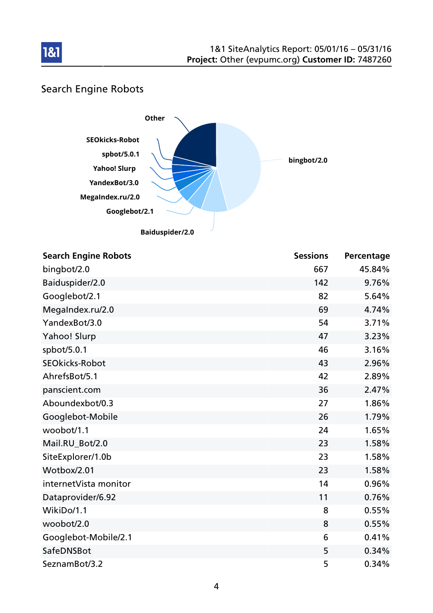

# Search Engine Robots



| <b>Search Engine Robots</b> | <b>Sessions</b> | Percentage |
|-----------------------------|-----------------|------------|
| bingbot/2.0                 | 667             | 45.84%     |
| Baiduspider/2.0             | 142             | 9.76%      |
| Googlebot/2.1               | 82              | 5.64%      |
| MegaIndex.ru/2.0            | 69              | 4.74%      |
| YandexBot/3.0               | 54              | 3.71%      |
| Yahoo! Slurp                | 47              | 3.23%      |
| spbot/5.0.1                 | 46              | 3.16%      |
| <b>SEOkicks-Robot</b>       | 43              | 2.96%      |
| AhrefsBot/5.1               | 42              | 2.89%      |
| panscient.com               | 36              | 2.47%      |
| Aboundexbot/0.3             | 27              | 1.86%      |
| Googlebot-Mobile            | 26              | 1.79%      |
| woobot/1.1                  | 24              | 1.65%      |
| Mail.RU_Bot/2.0             | 23              | 1.58%      |
| SiteExplorer/1.0b           | 23              | 1.58%      |
| Wotbox/2.01                 | 23              | 1.58%      |
| internetVista monitor       | 14              | 0.96%      |
| Dataprovider/6.92           | 11              | 0.76%      |
| WikiDo/1.1                  | 8               | 0.55%      |
| woobot/2.0                  | 8               | 0.55%      |
| Googlebot-Mobile/2.1        | 6               | 0.41%      |
| SafeDNSBot                  | 5               | 0.34%      |
| SeznamBot/3.2               | 5               | 0.34%      |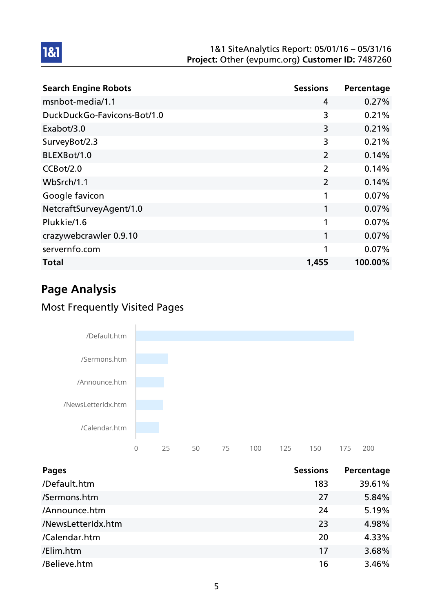#### 1&1 SiteAnalytics Report: 05/01/16 – 05/31/16 Project: Other (evpumc.org) Customer ID: 7487260

| <b>Search Engine Robots</b> | <b>Sessions</b> | Percentage |
|-----------------------------|-----------------|------------|
| msnbot-media/1.1            | 4               | 0.27%      |
| DuckDuckGo-Favicons-Bot/1.0 | 3               | 0.21%      |
| Exabot/3.0                  | 3               | 0.21%      |
| SurveyBot/2.3               | 3               | 0.21%      |
| BLEXBot/1.0                 | $\overline{2}$  | 0.14%      |
| CCBot/2.0                   | $\overline{2}$  | 0.14%      |
| WbSrch/1.1                  | $\overline{2}$  | 0.14%      |
| Google favicon              | 1               | 0.07%      |
| NetcraftSurveyAgent/1.0     | 1               | $0.07\%$   |
| Plukkie/1.6                 | 1               | 0.07%      |
| crazywebcrawler 0.9.10      | 1               | 0.07%      |
| servernfo.com               | 1               | 0.07%      |
| Total                       | 1,455           | 100.00%    |

# Page Analysis

1&1

## Most Frequently Visited Pages



| <b>Pages</b>       | <b>Sessions</b> | Percentage |
|--------------------|-----------------|------------|
| /Default.htm       | 183             | 39.61%     |
| /Sermons.htm       | 27              | 5.84%      |
| /Announce.htm      | 24              | 5.19%      |
| /NewsLetterIdx.htm | 23              | 4.98%      |
| /Calendar.htm      | 20              | 4.33%      |
| /Elim.htm          | 17              | 3.68%      |
| /Believe.htm       | 16              | 3.46%      |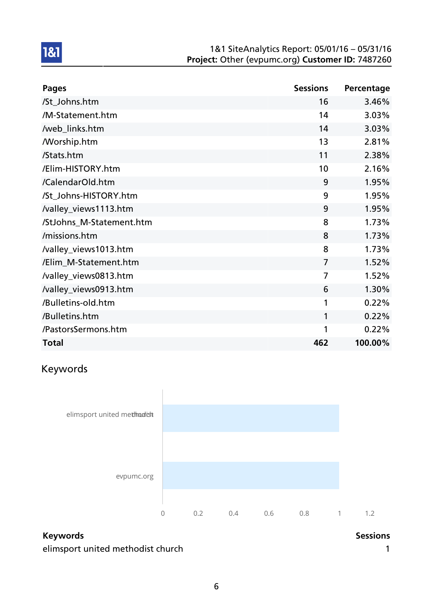#### 1&1 SiteAnalytics Report: 05/01/16 – 05/31/16 Project: Other (evpumc.org) Customer ID: 7487260

| <b>Pages</b>             | <b>Sessions</b> | Percentage |
|--------------------------|-----------------|------------|
| /St_Johns.htm            | 16              | 3.46%      |
| /M-Statement.htm         | 14              | 3.03%      |
| /web_links.htm           | 14              | 3.03%      |
| <b>Morship.htm</b>       | 13              | 2.81%      |
| /Stats.htm               | 11              | 2.38%      |
| /Elim-HISTORY.htm        | 10              | 2.16%      |
| /CalendarOld.htm         | 9               | 1.95%      |
| /St_Johns-HISTORY.htm    | 9               | 1.95%      |
| /valley_views1113.htm    | 9               | 1.95%      |
| /StJohns_M-Statement.htm | 8               | 1.73%      |
| /missions.htm            | 8               | 1.73%      |
| /valley_views1013.htm    | 8               | 1.73%      |
| /Elim_M-Statement.htm    | $\overline{7}$  | 1.52%      |
| /valley_views0813.htm    | $\overline{7}$  | 1.52%      |
| /valley_views0913.htm    | 6               | 1.30%      |
| /Bulletins-old.htm       | 1               | 0.22%      |
| /Bulletins.htm           | 1               | 0.22%      |
| /PastorsSermons.htm      | 1               | 0.22%      |
| <b>Total</b>             | 462             | 100.00%    |

# Keywords

1&1



## Keywords **Sessions**

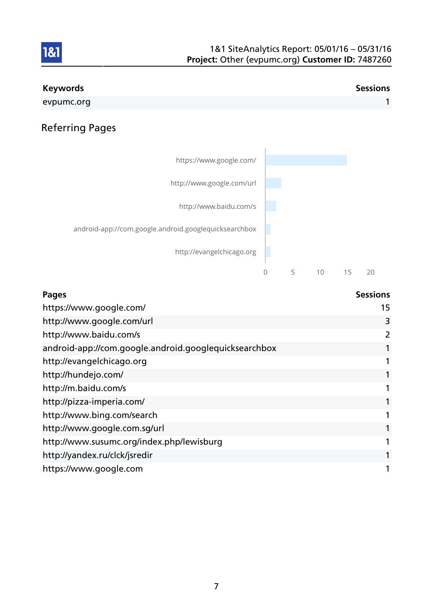

| <b>Pages</b>                                          | <b>Sessions</b> |
|-------------------------------------------------------|-----------------|
| https://www.google.com/                               | 15              |
| http://www.google.com/url                             | 3               |
| http://www.baidu.com/s                                | 2               |
| android-app://com.google.android.googlequicksearchbox | 1               |
| http://evangelchicago.org                             |                 |
| http://hundejo.com/                                   | 1               |
| http://m.baidu.com/s                                  |                 |
| http://pizza-imperia.com/                             |                 |
| http://www.bing.com/search                            | 1               |
| http://www.google.com.sg/url                          | 1               |
| http://www.susumc.org/index.php/lewisburg             |                 |
| http://yandex.ru/clck/jsredir                         | 1               |
| https://www.google.com                                |                 |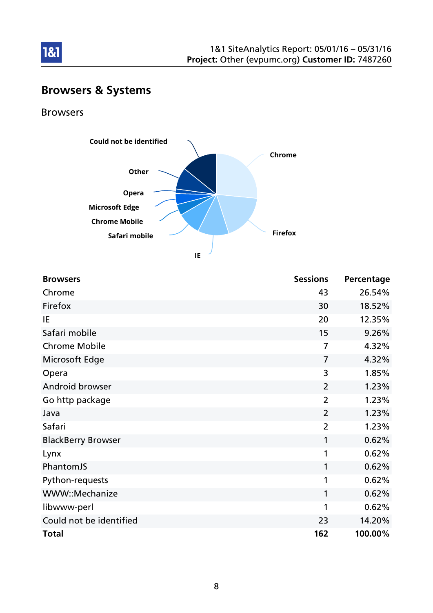

# Browsers & Systems

### Browsers

181



**IE**

| <b>Browsers</b>           | <b>Sessions</b> | Percentage |
|---------------------------|-----------------|------------|
| Chrome                    | 43              | 26.54%     |
| Firefox                   | 30              | 18.52%     |
| IE.                       | 20              | 12.35%     |
| Safari mobile             | 15              | 9.26%      |
| <b>Chrome Mobile</b>      | 7               | 4.32%      |
| Microsoft Edge            | $\overline{7}$  | 4.32%      |
| Opera                     | 3               | 1.85%      |
| Android browser           | $\overline{2}$  | 1.23%      |
| Go http package           | $\overline{2}$  | 1.23%      |
| Java                      | $\overline{2}$  | 1.23%      |
| Safari                    | $\overline{2}$  | 1.23%      |
| <b>BlackBerry Browser</b> | 1               | 0.62%      |
| Lynx                      | 1               | 0.62%      |
| PhantomJS                 | 1               | 0.62%      |
| Python-requests           | 1               | 0.62%      |
| WWW::Mechanize            | $\mathbf{1}$    | 0.62%      |
| libwww-perl               | 1               | 0.62%      |
| Could not be identified   | 23              | 14.20%     |
| <b>Total</b>              | 162             | 100.00%    |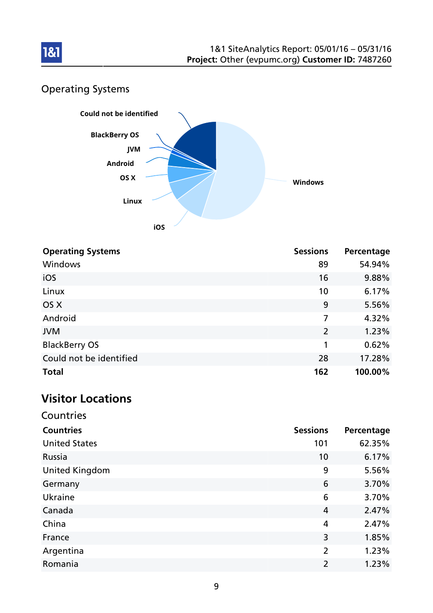

# Operating Systems



| <b>Operating Systems</b> | <b>Sessions</b> | Percentage |
|--------------------------|-----------------|------------|
| <b>Windows</b>           | 89              | 54.94%     |
| iOS                      | 16              | 9.88%      |
| Linux                    | 10              | 6.17%      |
| OS X                     | 9               | 5.56%      |
| Android                  | 7               | 4.32%      |
| <b>JVM</b>               | $\overline{2}$  | 1.23%      |
| <b>BlackBerry OS</b>     | 1               | 0.62%      |
| Could not be identified  | 28              | 17.28%     |
| <b>Total</b>             | 162             | 100.00%    |

# Visitor Locations

| Countries             |                 |            |
|-----------------------|-----------------|------------|
| <b>Countries</b>      | <b>Sessions</b> | Percentage |
| <b>United States</b>  | 101             | 62.35%     |
| Russia                | 10              | 6.17%      |
| <b>United Kingdom</b> | 9               | 5.56%      |
| Germany               | 6               | 3.70%      |
| Ukraine               | 6               | 3.70%      |
| Canada                | 4               | 2.47%      |
| China                 | 4               | 2.47%      |
| France                | 3               | 1.85%      |
| Argentina             | $\overline{2}$  | 1.23%      |
| Romania               | 2               | 1.23%      |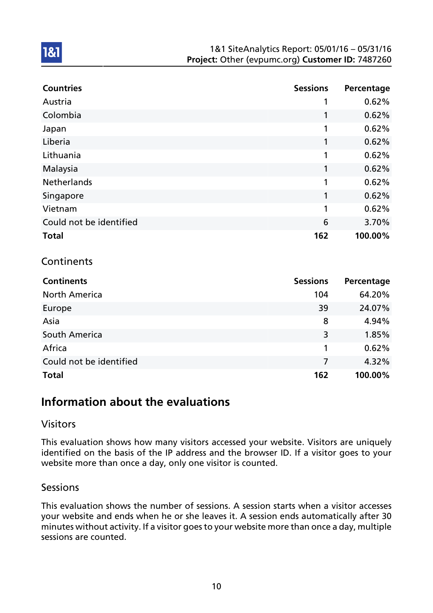#### 1&1 SiteAnalytics Report: 05/01/16 – 05/31/16 Project: Other (evpumc.org) Customer ID: 7487260

| <b>Countries</b>        | <b>Sessions</b> | Percentage |
|-------------------------|-----------------|------------|
| Austria                 |                 | 0.62%      |
| Colombia                | 1               | 0.62%      |
| Japan                   | 1               | 0.62%      |
| Liberia                 | 1               | 0.62%      |
| Lithuania               | 1               | 0.62%      |
| Malaysia                | 1               | 0.62%      |
| <b>Netherlands</b>      | 1               | 0.62%      |
| Singapore               | 1               | 0.62%      |
| Vietnam                 | 1               | 0.62%      |
| Could not be identified | 6               | 3.70%      |
| <b>Total</b>            | 162             | 100.00%    |

### **Continents**

1&1

| <b>Continents</b>       | <b>Sessions</b> | Percentage |
|-------------------------|-----------------|------------|
| <b>North America</b>    | 104             | 64.20%     |
| Europe                  | 39              | 24.07%     |
| Asia                    | 8               | 4.94%      |
| South America           | 3               | 1.85%      |
| Africa                  | 1               | 0.62%      |
| Could not be identified | 7               | 4.32%      |
| <b>Total</b>            | 162             | 100.00%    |

## Information about the evaluations

#### Visitors

This evaluation shows how many visitors accessed your website. Visitors are uniquely identified on the basis of the IP address and the browser ID. If a visitor goes to your website more than once a day, only one visitor is counted.

#### **Sessions**

This evaluation shows the number of sessions. A session starts when a visitor accesses your website and ends when he or she leaves it. A session ends automatically after 30 minutes without activity. If a visitor goes to your website more than once a day, multiple sessions are counted.